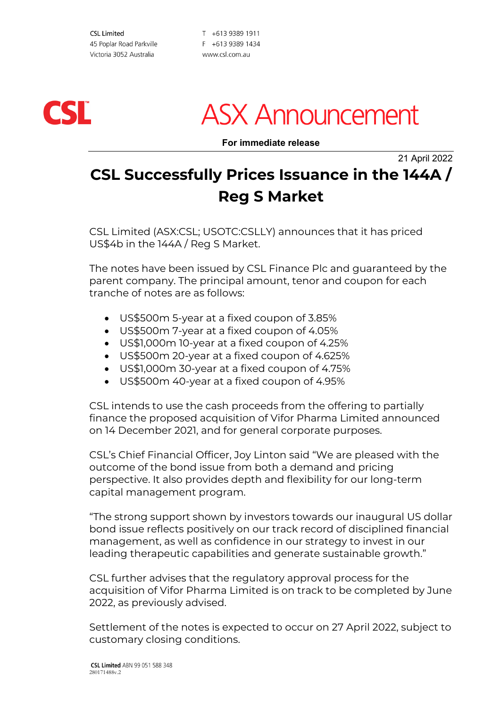**CSL Limited** 45 Poplar Road Parkville Victoria 3052 Australia

T +613 9389 1911 F +613 9389 1434 www.csl.com.au



## **ASX Announcement**

**For immediate release**

21 April 2022

### **CSL Successfully Prices Issuance in the 144A / Reg S Market**

CSL Limited (ASX:CSL; USOTC:CSLLY) announces that it has priced US\$4b in the 144A / Reg S Market.

The notes have been issued by CSL Finance Plc and guaranteed by the parent company. The principal amount, tenor and coupon for each tranche of notes are as follows:

- US\$500m 5-year at a fixed coupon of 3.85%
- US\$500m 7-year at a fixed coupon of 4.05%
- US\$1,000m 10-year at a fixed coupon of 4.25%
- US\$500m 20-year at a fixed coupon of 4.625%
- US\$1,000m 30-year at a fixed coupon of 4.75%
- US\$500m 40-year at a fixed coupon of 4.95%

CSL intends to use the cash proceeds from the offering to partially finance the proposed acquisition of Vifor Pharma Limited announced on 14 December 2021, and for general corporate purposes.

CSL's Chief Financial Officer, Joy Linton said "We are pleased with the outcome of the bond issue from both a demand and pricing perspective. It also provides depth and flexibility for our long-term capital management program.

"The strong support shown by investors towards our inaugural US dollar bond issue reflects positively on our track record of disciplined financial management, as well as confidence in our strategy to invest in our leading therapeutic capabilities and generate sustainable growth."

CSL further advises that the regulatory approval process for the acquisition of Vifor Pharma Limited is on track to be completed by June 2022, as previously advised.

Settlement of the notes is expected to occur on 27 April 2022, subject to customary closing conditions.